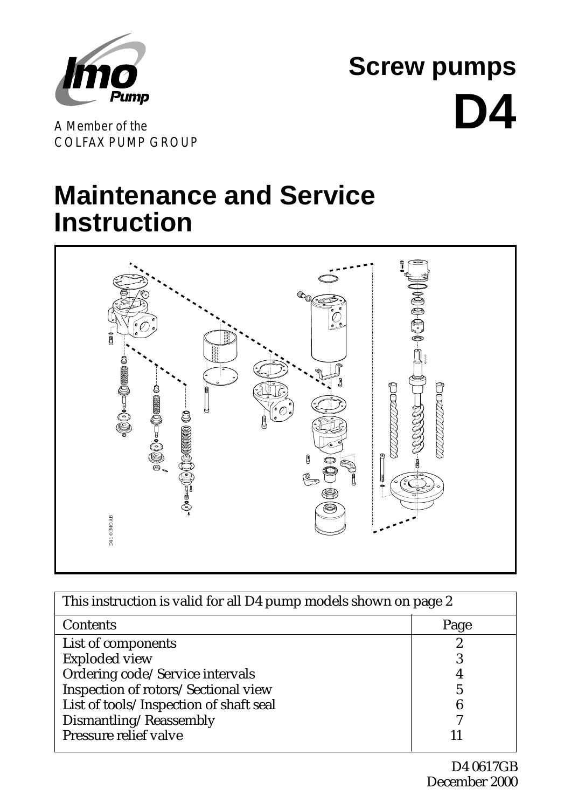

**Screw pumps D4**

A Member of the COLFAX PUMP GROUP

# **Maintenance and Service Instruction**



| MO AB<br>$\mathbb{R}$ , $\mathbb{R}$ , $\mathbb{R}$ , $\mathbb{R}$ , $\mathbb{R}$ , $\mathbb{R}$ , $\mathbb{R}$ , $\mathbb{R}$ , $\mathbb{R}$ , $\mathbb{R}$ , $\mathbb{R}$ , $\mathbb{R}$ , $\mathbb{R}$ , $\mathbb{R}$ , $\mathbb{R}$ , $\mathbb{R}$ , $\mathbb{R}$ , $\mathbb{R}$ , $\mathbb{R}$ , $\mathbb{R}$ , |      |
|----------------------------------------------------------------------------------------------------------------------------------------------------------------------------------------------------------------------------------------------------------------------------------------------------------------------|------|
| This instruction is valid for all D4 pump models shown on page 2                                                                                                                                                                                                                                                     |      |
| Contents                                                                                                                                                                                                                                                                                                             | Page |
| List of components                                                                                                                                                                                                                                                                                                   | 2    |
| <b>Exploded view</b>                                                                                                                                                                                                                                                                                                 | 3    |
| Ordering code/Service intervals                                                                                                                                                                                                                                                                                      |      |
| Inspection of rotors/Sectional view                                                                                                                                                                                                                                                                                  |      |
| List of tools/Inspection of shaft seal                                                                                                                                                                                                                                                                               |      |
| Dismantling/Reassembly                                                                                                                                                                                                                                                                                               |      |
| Pressure relief valve                                                                                                                                                                                                                                                                                                |      |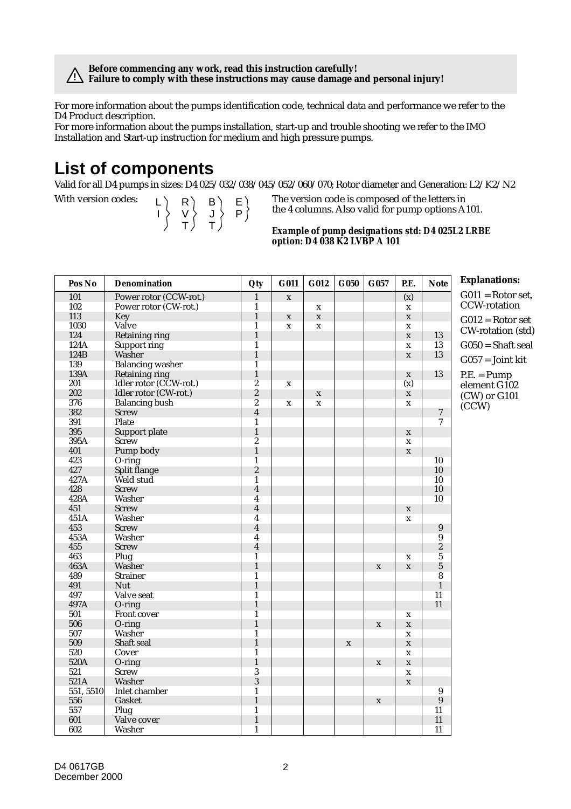**Before commencing any work, read this instruction carefully! Failure to comply with these instructions may cause damage and personal injury! !**

For more information about the pumps identification code, technical data and performance we refer to the D4 Product description.

For more information about the pumps installation, start-up and trouble shooting we refer to the IMO Installation and Start-up instruction for medium and high pressure pumps.

#### **List of components**

Valid for all D4 pumps in sizes: D4 025/032/038/045/052/060/070; Rotor diameter and Generation: L2/K2/N2

L I R V T B J T E P

With version codes:  $\begin{pmatrix} 1 & 1 \end{pmatrix}$   $\begin{pmatrix} 2 & 3 \end{pmatrix}$   $\begin{pmatrix} 2 & 5 \end{pmatrix}$  The version code is composed of the letters in the 4 columns. Also valid for pump options A101.

#### *Example of pump designations std: D4 025L2 LRBE option: D4 038 K2 LVBP A 101*

| Pos No    | <b>Denomination</b>     | Qty                     | G011         | G012        | G050         | G057        | P.E.         | <b>Note</b>      | <b>Explanations:</b> |
|-----------|-------------------------|-------------------------|--------------|-------------|--------------|-------------|--------------|------------------|----------------------|
| 101       | Power rotor (CCW-rot.)  | $\mathbf{1}$            | $\mathbf{x}$ |             |              |             | (x)          |                  | $G011 =$ Rotor set,  |
| 102       | Power rotor (CW-rot.)   | $\mathbf{1}$            |              | $\mathbf x$ |              |             | $\mathbf x$  |                  | <b>CCW-rotation</b>  |
| 113       | Key                     | $\mathbf{1}$            | $\mathbf X$  | $\mathbf x$ |              |             | $\mathbf x$  |                  | $G012 =$ Rotor set   |
| 1030      | Valve                   | $\mathbf{1}$            | $\mathbf x$  | $\mathbf x$ |              |             | $\mathbf{x}$ |                  |                      |
| 124       | Retaining ring          | $\mathbf{1}$            |              |             |              |             | $\mathbf{x}$ | 13               | CW-rotation (std)    |
| 124A      | <b>Support ring</b>     | $\mathbf{1}$            |              |             |              |             | $\mathbf x$  | 13               | $G050 = Shaft$ seal  |
| 124B      | Washer                  | $\mathbf{1}$            |              |             |              |             | $\mathbf x$  | 13               | $G057 = Joint kit$   |
| 139       | <b>Balancing washer</b> | $\mathbf{1}$            |              |             |              |             |              |                  |                      |
| 139A      | <b>Retaining ring</b>   | $\mathbf{1}$            |              |             |              |             | $\mathbf x$  | 13               | $P.E. = Pump$        |
| 201       | Idler rotor (CCW-rot.)  | $\overline{c}$          | $\mathbf x$  |             |              |             | (x)          |                  | element G102         |
| 202       | Idler rotor (CW-rot.)   | $\overline{\mathbf{2}}$ |              | $\mathbf x$ |              |             | $\mathbf x$  |                  | (CW) or G101         |
| 376       | <b>Balancing bush</b>   | $\overline{c}$          | $\mathbf x$  | $\mathbf x$ |              |             | $\mathbf{x}$ |                  | (CCW)                |
| 382       | <b>Screw</b>            | $\overline{\mathbf{4}}$ |              |             |              |             |              | $\overline{7}$   |                      |
| 391       | Plate                   | $\mathbf{1}$            |              |             |              |             |              | $\tau$           |                      |
| 395       | Support plate           | $\mathbf{1}$            |              |             |              |             | $\mathbf x$  |                  |                      |
| 395A      | <b>Screw</b>            | $\sqrt{2}$              |              |             |              |             | $\mathbf x$  |                  |                      |
| 401       | Pump body               | $\mathbf{1}$            |              |             |              |             | $\mathbf{x}$ |                  |                      |
| 423       | $O$ -ring               | $\mathbf{1}$            |              |             |              |             |              | 10               |                      |
| 427       | Split flange            | $\boldsymbol{2}$        |              |             |              |             |              | 10               |                      |
| 427A      | Weld stud               | 1                       |              |             |              |             |              | 10               |                      |
| 428       | <b>Screw</b>            | $\overline{\mathbf{4}}$ |              |             |              |             |              | 10               |                      |
| 428A      | Washer                  | $\overline{4}$          |              |             |              |             |              | 10               |                      |
| 451       | <b>Screw</b>            | $\overline{\mathbf{4}}$ |              |             |              |             | $\mathbf x$  |                  |                      |
| 451A      | Washer                  | $\overline{\mathbf{4}}$ |              |             |              |             | $\mathbf X$  |                  |                      |
| 453       | <b>Screw</b>            | $\overline{4}$          |              |             |              |             |              | $\boldsymbol{9}$ |                      |
| 453A      | Washer                  | $\boldsymbol{4}$        |              |             |              |             |              | 9                |                      |
| 455       | <b>Screw</b>            | $\overline{\mathbf{4}}$ |              |             |              |             |              | $\boldsymbol{2}$ |                      |
| 463       | Plug                    | $\overline{1}$          |              |             |              |             | $\mathbf X$  | 5                |                      |
| 463A      | Washer                  | $\mathbf{1}$            |              |             |              | $\mathbf X$ | $\mathbf x$  | $\overline{5}$   |                      |
| 489       | <b>Strainer</b>         | $\mathbf{1}$            |              |             |              |             |              | 8                |                      |
| 491       | Nut                     | $\mathbf{1}$            |              |             |              |             |              | $\mathbf{1}$     |                      |
| 497       | Valve seat              | $\overline{1}$          |              |             |              |             |              | 11               |                      |
| 497A      | $O$ -ring               | $\mathbf{1}$            |              |             |              |             |              | 11               |                      |
| 501       | Front cover             | $\mathbf{1}$            |              |             |              |             | $\mathbf x$  |                  |                      |
| 506       | $O$ -ring               | $\mathbf{1}$            |              |             |              | $\mathbf x$ | $\mathbf x$  |                  |                      |
| 507       | Washer                  | $\mathbf{1}$            |              |             |              |             | $\mathbf X$  |                  |                      |
| 509       | Shaft seal              | $\mathbf{1}$            |              |             | $\mathbf{x}$ |             | $\mathbf x$  |                  |                      |
| 520       | Cover                   | $\mathbf{1}$            |              |             |              |             | $\mathbf x$  |                  |                      |
| 520A      | O-ring                  | $\mathbf{1}$            |              |             |              | $\mathbf x$ | $\mathbf x$  |                  |                      |
| 521       | Screw                   | $\overline{3}$          |              |             |              |             | $\mathbf x$  |                  |                      |
| 521A      | Washer                  | $\overline{3}$          |              |             |              |             | $\mathbf{x}$ |                  |                      |
| 551, 5510 | Inlet chamber           | $\mathbf{1}$            |              |             |              |             |              | 9                |                      |
| 556       | Gasket                  | $\mathbf{1}$            |              |             |              | $\mathbf X$ |              | $\boldsymbol{9}$ |                      |
| 557       | Plug                    | $\mathbf{1}$            |              |             |              |             |              | 11               |                      |
| 601       | Valve cover             | $\mathbf{1}$            |              |             |              |             |              | 11               |                      |
| 602       | Washer                  | $\mathbf{1}$            |              |             |              |             |              | 11               |                      |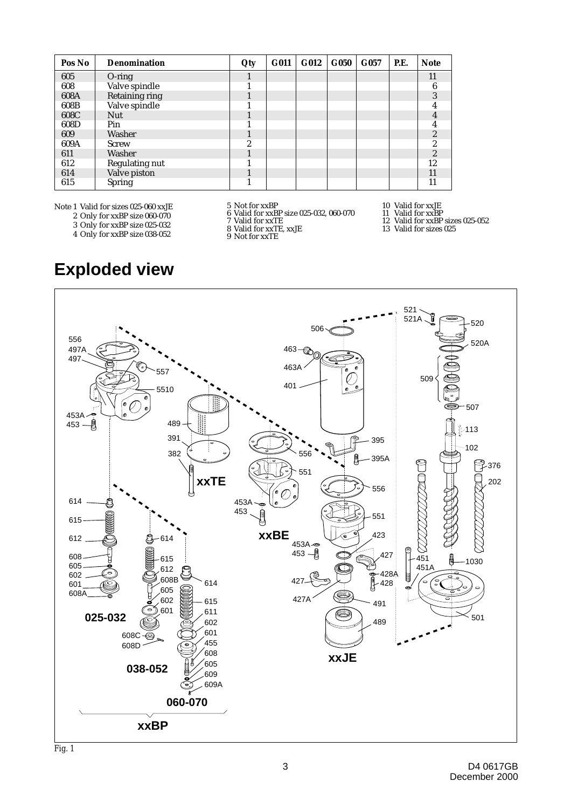| Pos No | <b>Denomination</b> | Qty | G011 | G012 | G050 | G057 | <b>P.E.</b> | <b>Note</b>    |
|--------|---------------------|-----|------|------|------|------|-------------|----------------|
| 605    | $O$ -ring           |     |      |      |      |      |             | 11             |
| 608    | Valve spindle       |     |      |      |      |      |             | 6              |
| 608A   | Retaining ring      |     |      |      |      |      |             | 3              |
| 608B   | Valve spindle       |     |      |      |      |      |             |                |
| 608C   | <b>Nut</b>          |     |      |      |      |      |             |                |
| 608D   | Pin                 |     |      |      |      |      |             |                |
| 609    | Washer              |     |      |      |      |      |             | $\overline{c}$ |
| 609A   | <b>Screw</b>        | 9   |      |      |      |      |             | 2              |
| 611    | Washer              |     |      |      |      |      |             | 2              |
| 612    | Regulating nut      |     |      |      |      |      |             | 12             |
| 614    | Valve piston        |     |      |      |      |      |             | 11             |
| 615    | Spring              |     |      |      |      |      |             | 11             |

Note 1 Valid for sizes 025-060 xxJE

- 2 Only for xxBP size 060-070
- 3 Only for xxBP size 025-032

**Exploded view**

5 Not for xxBP

6 Valid for xxBP size 025-032, 060-070

10 Valid for xxJE

- 11 Valid for xxBP
- 12 Valid for xxBP sizes 025-052 13 Valid for sizes 025

4 Only for xxBP size 038-052

7 Valid for xxTE 8 Valid for xxTE, xxJE

9 Not for xxTE



*Fig. 1*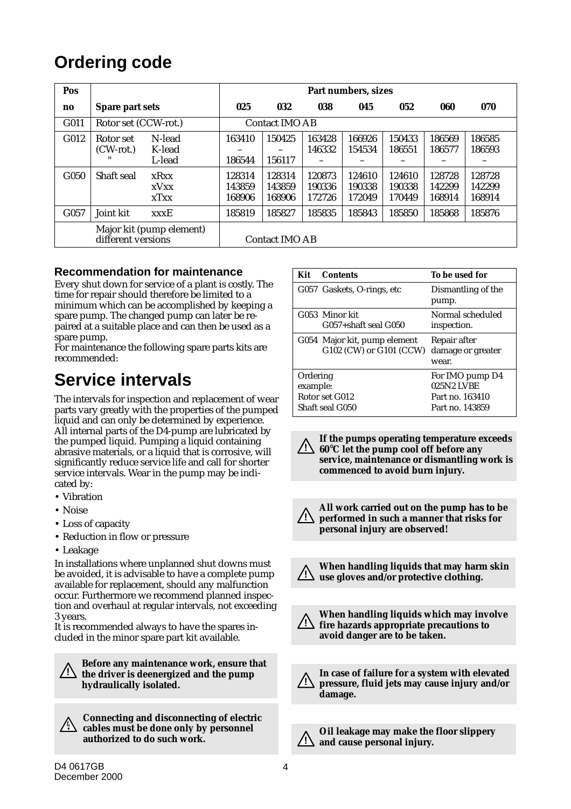### **Ordering code**

| Pos              |                          |                                 | Part numbers, sizes        |                            |                            |                            |                            |                            |                            |
|------------------|--------------------------|---------------------------------|----------------------------|----------------------------|----------------------------|----------------------------|----------------------------|----------------------------|----------------------------|
| no               | Spare part sets          |                                 | 025                        | 032                        | 038                        | 045                        | 052                        | 060                        | 070                        |
| G011             | Rotor set (CCW-rot.)     |                                 | <b>Contact IMO AB</b>      |                            |                            |                            |                            |                            |                            |
| G <sub>012</sub> | Rotor set<br>$(CW-rot.)$ | N-lead<br>K-lead<br>L-lead      | 163410<br>186544           | 150425<br>156117           | 163428<br>146332           | 166926<br>154534           | 150433<br>186551           | 186569<br>186577           | 186585<br>186593           |
| G <sub>050</sub> | Shaft seal               | xRxx<br><b>xV</b> xx<br>$x$ Txx | 128314<br>143859<br>168906 | 128314<br>143859<br>168906 | 120873<br>190336<br>172726 | 124610<br>190338<br>172049 | 124610<br>190338<br>170449 | 128728<br>142299<br>168914 | 128728<br>142299<br>168914 |
| G <sub>057</sub> | Joint kit                | <b>xxxE</b>                     | 185819                     | 185827                     | 185835                     | 185843                     | 185850                     | 185868                     | 185876                     |
|                  | different versions       | Major kit (pump element)        | <b>Contact IMO AB</b>      |                            |                            |                            |                            |                            |                            |

#### **Recommendation for maintenance**

Every shut down for service of a plant is costly. The time for repair should therefore be limited to a minimum which can be accomplished by keeping a spare pump. The changed pump can later be repaired at a suitable place and can then be used as a spare pump.

For maintenance the following spare parts kits are recommended:

### **Service intervals**

The intervals for inspection and replacement of wear parts vary greatly with the properties of the pumped liquid and can only be determined by experience. All internal parts of the D4-pump are lubricated by the pumped liquid. Pumping a liquid containing abrasive materials, or a liquid that is corrosive, will significantly reduce service life and call for shorter service intervals. Wear in the pump may be indicated by:

- Vibration
- Noise
- Loss of capacity
- Reduction in flow or pressure
- Leakage

In installations where unplanned shut downs must be avoided, it is advisable to have a complete pump available for replacement, should any malfunction occur. Furthermore we recommend planned inspection and overhaul at regular intervals, not exceeding 3 years.

It is recommended always to have the spares included in the minor spare part kit available.

**1. Before any maintenance work, ensure that**<br> **1. Suppose that** the distribution of the numerical and the numerical and the numerical and the numerical states of the distribution of the distribution of the distribution of **the driver is deenergized and the pump hydraulically isolated.**

**Connecting and disconnecting of electric cables must be done only by personnel authorized to do such work.**

| Kit      | <b>Contents</b>              | To be used for     |
|----------|------------------------------|--------------------|
|          | G057 Gaskets, O-rings, etc   | Dismantling of the |
|          |                              | pump.              |
|          | G053 Minor kit               | Normal scheduled   |
|          | $G057 + shaft$ seal $G050$   | inspection.        |
|          | G054 Major kit, pump element | Repair after       |
|          | G102 (CW) or G101 (CCW)      | damage or greater  |
|          |                              | wear.              |
| Ordering |                              | For IMO pump D4    |
| example: |                              | 025N2 LVBE         |
|          | Rotor set G012               | Part no. 163410    |
|          | Shaft seal G050              | Part no. 143859    |

**If the pumps operating temperature exceeds 60**°**C let the pump cool off before any ! service, maintenance or dismantling work is commenced to avoid burn injury.**

**All work carried out on the pump has to be performed in such a manner that risks for personal injury are observed! !**



**When handling liquids that may harm skin use gloves and/or protective clothing. !**

**When handling liquids which may involve fire hazards appropriate precautions to avoid danger are to be taken. !**

**In case of failure for a system with elevated pressure, fluid jets may cause injury and/or damage. !**

**Oil leakage may make the floor slippery and cause personal injury. !**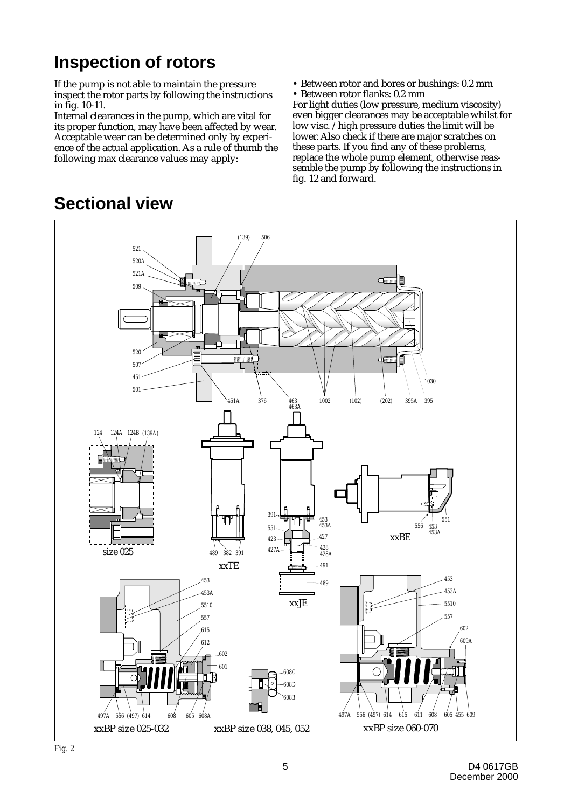### **Inspection of rotors**

If the pump is not able to maintain the pressure inspect the rotor parts by following the instructions in fig. 10-11.

Internal clearances in the pump, which are vital for its proper function, may have been affected by wear. Acceptable wear can be determined only by experience of the actual application. As a rule of thumb the following max clearance values may apply:

• Between rotor and bores or bushings: 0.2 mm

• Between rotor flanks: 0.2 mm For light duties (low pressure, medium viscosity) even bigger clearances may be acceptable whilst for low visc. /high pressure duties the limit will be lower. Also check if there are major scratches on these parts. If you find any of these problems, replace the whole pump element, otherwise reassemble the pump by following the instructions in fig. 12 and forward.



### **Sectional view**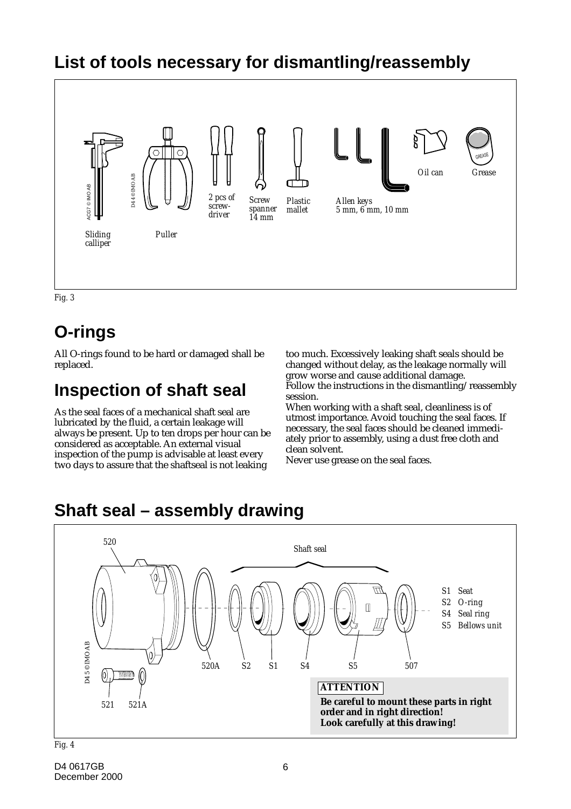

*Fig. 3*

## **O-rings**

All O-rings found to be hard or damaged shall be replaced.

### **Inspection of shaft seal**

As the seal faces of a mechanical shaft seal are lubricated by the fluid, a certain leakage will always be present. Up to ten drops per hour can be considered as acceptable. An external visual inspection of the pump is advisable at least every two days to assure that the shaftseal is not leaking

too much. Excessively leaking shaft seals should be changed without delay, as the leakage normally will grow worse and cause additional damage. Follow the instructions in the dismantling/reassembly session.

When working with a shaft seal, cleanliness is of utmost importance. Avoid touching the seal faces. If necessary, the seal faces should be cleaned immediately prior to assembly, using a dust free cloth and clean solvent.

Never use grease on the seal faces.

### **Shaft seal – assembly drawing**



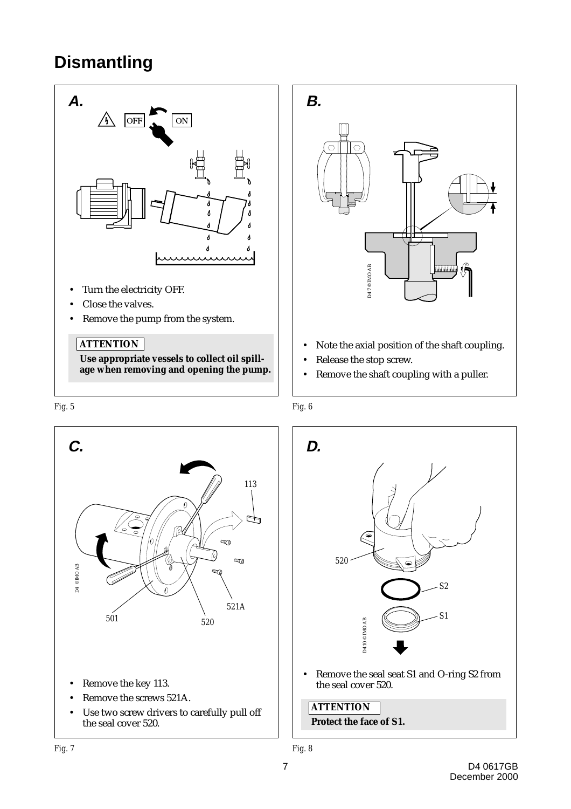### **Dismantling**



**age when removing and opening the pump.**



the seal cover 520.







**Protect the face of S1.**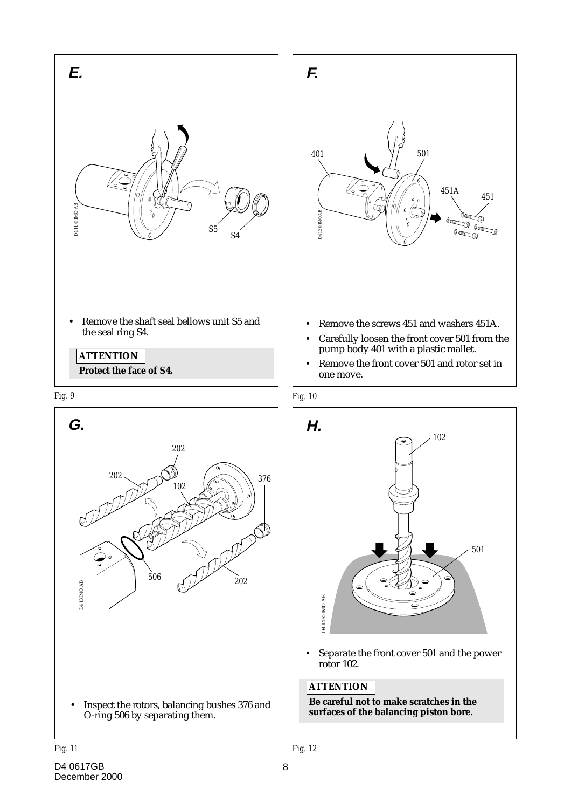









• Separate the front cover 501 and the power rotor 102.

#### **ATTENTION**

**Be careful not to make scratches in the surfaces of the balancing piston bore.**

*Fig. 11 Fig. 12*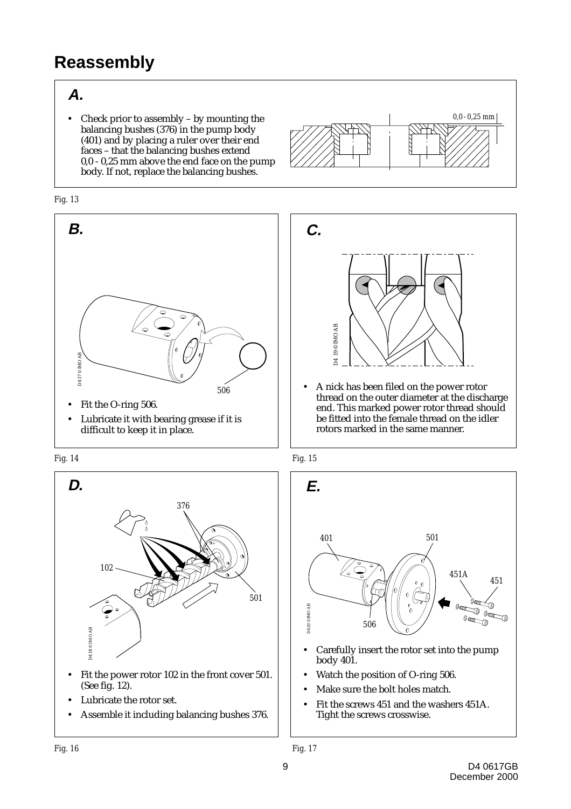### **Reassembly**

#### **A.**

• Check prior to assembly – by mounting the balancing bushes (376) in the pump body (401) and by placing a ruler over their end faces – that the balancing bushes extend 0,0 - 0,25 mm above the end face on the pump body. If not, replace the balancing bushes.





- Fit the O-ring 506.
- Lubricate it with bearing grease if it is





- (See fig. 12).
- Lubricate the rotor set.
- Assemble it including balancing bushes 376.





*<sup>506</sup>* • A nick has been filed on the power rotor thread on the outer diameter at the discharge end. This marked power rotor thread should be fitted into the female thread on the idler rotors marked in the same manner.



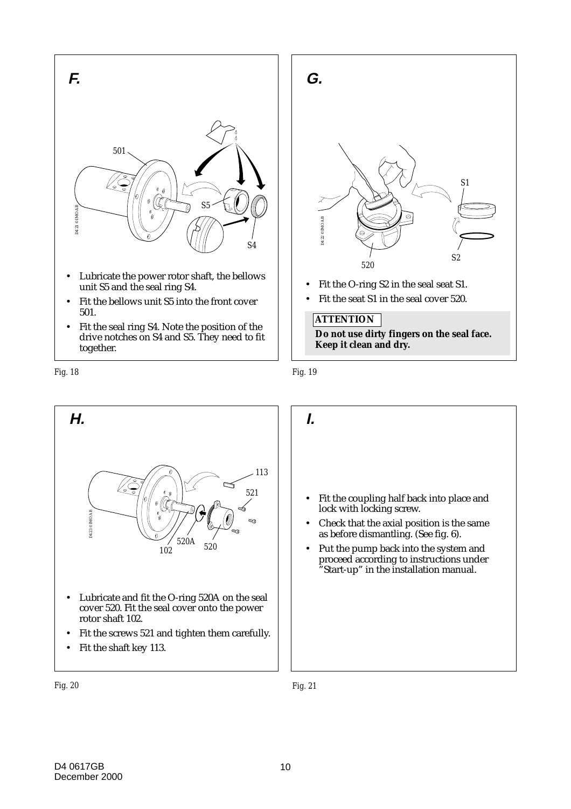

- unit S5 and the seal ring S4.
- Fit the bellows unit S5 into the front cover 501.
- Fit the seal ring S4. Note the position of the drive notches on S4 and S5. They need to fit together.

*Fig. 18 Fig. 19*



• Fit the seat S1 in the seal cover 520.

#### **ATTENTION**

**Do not use dirty fingers on the seal face. Keep it clean and dry.**



• Fit the coupling half back into place and lock with locking screw. • Check that the axial position is the same as before dismantling. (See fig. 6). • Put the pump back into the system and proceed according to instructions under "Start-up" in the installation manual.